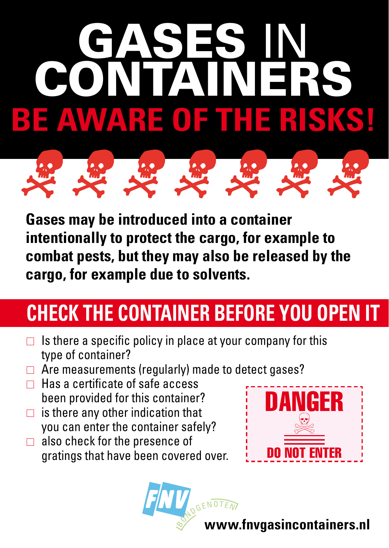# Gases in **DNITA** BE AWARE OF THE RISKS



**Gases may be introduced into a container intentionally to protect the cargo, for example to combat pests, but they may also be released by the cargo, for example due to solvents.**

### **CHECK THE CONTAINER BEFORE YOU OPEN IT**

- $\Box$  Is there a specific policy in place at your company for this type of container?
- $\Box$  Are measurements (regularly) made to detect gases?
- $\Box$  Has a certificate of safe access been provided for this container?
- $\Box$  is there any other indication that you can enter the container safely?
- $\Box$  also check for the presence of gratings that have been covered over.